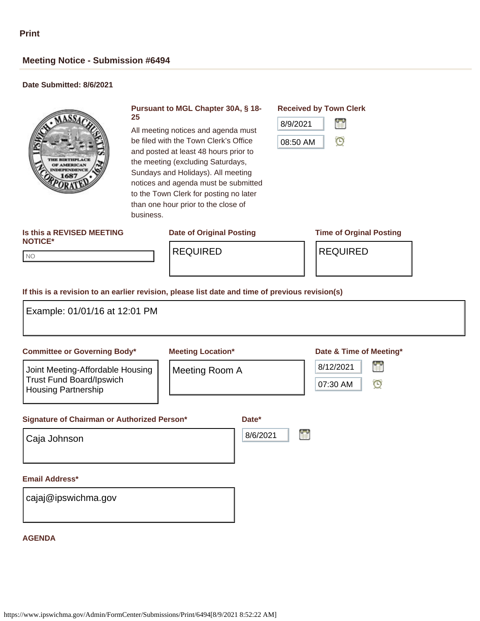# **Meeting Notice - Submission #6494**

## **Date Submitted: 8/6/2021**



### **Pursuant to MGL Chapter 30A, § 18- 25**

All meeting notices and agenda must be filed with the Town Clerk's Office and posted at least 48 hours prior to the meeting (excluding Saturdays, Sundays and Holidays). All meeting notices and agenda must be submitted to the Town Clerk for posting no later than one hour prior to the close of business.

## **Received by Town Clerk**



#### **Is this a REVISED MEETING NOTICE\***

## **Date of Original Posting Time of Orginal Posting**

NO NO

REQUIRED REQUIRED

#### **If this is a revision to an earlier revision, please list date and time of previous revision(s)**

| Example: 01/01/16 at 12:01 PM                                                                     |                          |          |                                       |
|---------------------------------------------------------------------------------------------------|--------------------------|----------|---------------------------------------|
| <b>Committee or Governing Body*</b>                                                               | <b>Meeting Location*</b> |          | Date & Time of Meeting*               |
| Joint Meeting-Affordable Housing<br><b>Trust Fund Board/Ipswich</b><br><b>Housing Partnership</b> | Meeting Room A           |          | 曾<br>8/12/2021<br>$\odot$<br>07:30 AM |
| Signature of Chairman or Authorized Person*                                                       |                          | Date*    |                                       |
| Caja Johnson                                                                                      |                          | 8/6/2021 | H                                     |
| <b>Email Address*</b>                                                                             |                          |          |                                       |
| cajaj@ipswichma.gov                                                                               |                          |          |                                       |
| <b>AGENDA</b>                                                                                     |                          |          |                                       |